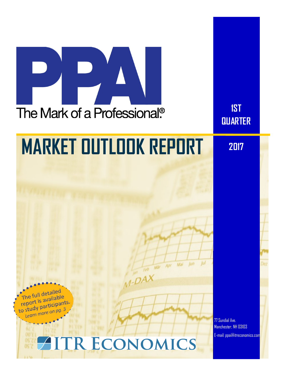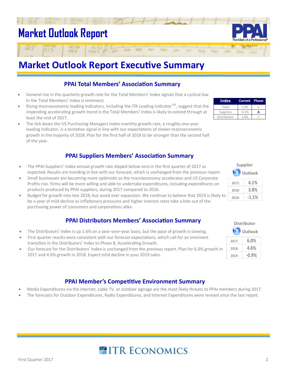## **Market Outlook Report**

### **Market Outlook Report Executive Summary**

#### **PPAI Total Members' Association Summary**

- General rise in the quarterly growth rate for the Total Members' Index signals that a cyclical low in the Total Members' Index is imminent.
- Rising macroeconomic leading indicators, including the ITR Leading Indicator™, suggest that the impending accelerating growth trend in the Total Members' Index is likely to extend through at least the end of 2017.
- The tick down the US Purchasing Managers Index monthly growth rate, a roughly one-year leading indicator, is a tentative signal in line with our expectations of slower macroeconomic growth in the majority of 2018. Plan for the first half of 2018 to be stronger than the second half of the year.

#### **PPAI Suppliers Members' Association Summary**

- The PPAI Suppliers' Index annual growth rate dipped below zero in the first quarter of 2017 as expected. Results are trending in line with our forecast, which is unchanged from the previous report.
- Small businesses are becoming more optimistic as the macroeconomy accelerates and US Corporate Profits rise. Firms will be more willing and able to undertake expenditures, including expenditures on products produced by PPAI suppliers, during 2017 compared to 2016.
- Budget for growth into late 2018, but avoid over expansion. We continue to believe that 2019 is likely to be a year of mild decline as inflationary pressures and higher interest rates take a bite out of the purchasing power of consumers and corporations alike.

#### **PPAI Distributors Members' Association Summary**

- The Distributors' Index is up 1.6% on a year-over-year basis, but the pace of growth is slowing.
- First quarter results were consistent with our forecast expectations, which call for an imminent transition in the Distributors' Index to Phase B, Accelerating Growth.
- Our forecast for the Distributors' Index is unchanged from the previous report. Plan for 6.0% growth in 2017 and 4.6% growth in 2018. Expect mild decline in your 2019 sales.

#### **PPAI Member's Competitive Environment Summary**

- Media Expenditures via the internet, cable TV, or outdoor signage are the most likely threats to PPAI members during 2017.
- The forecasts for Outdoor Expenditures, Radio Expenditures, and Internet Expenditures were revised since the last report.

**AITR ECONOMICS** 

| Index               | <b>Current</b> Phase |  |
|---------------------|----------------------|--|
| Total               | 1.0%                 |  |
| Suppliers           | $-0.1%$              |  |
| <b>Distributors</b> | 1.6%                 |  |



| Outlook |          |  |
|---------|----------|--|
| 2017:   | 6.0%     |  |
| 2018:   | 4.6%     |  |
| 2019:   | $-0.9\%$ |  |